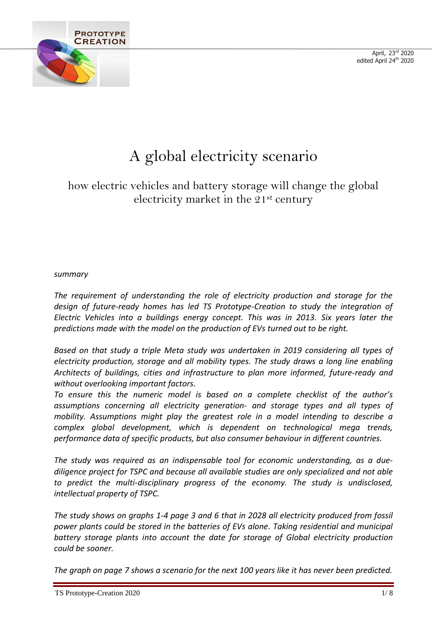

# A global electricity scenario

 $\overline{a}$ 

how electric vehicles and battery storage will change the global electricity market in the 21st century

#### *summary*

*The requirement of understanding the role of electricity production and storage for the design of future-ready homes has led TS Prototype-Creation to study the integration of Electric Vehicles into a buildings energy concept. This was in 2013. Six years later the predictions made with the model on the production of EVs turned out to be right.*

*Based on that study a triple Meta study was undertaken in 2019 considering all types of electricity production, storage and all mobility types. The study draws a long line enabling Architects of buildings, cities and infrastructure to plan more informed, future-ready and without overlooking important factors.*

*To ensure this the numeric model is based on a complete checklist of the author's assumptions concerning all electricity generation- and storage types and all types of mobility. Assumptions might play the greatest role in a model intending to describe a complex global development, which is dependent on technological mega trends, performance data of specific products, but also consumer behaviour in different countries.*

*The study was required as an indispensable tool for economic understanding, as a duediligence project for TSPC and because all available studies are only specialized and not able to predict the multi-disciplinary progress of the economy. The study is undisclosed, intellectual property of TSPC.*

*The study shows on graphs 1-4 page 3 and 6 that in 2028 all electricity produced from fossil power plants could be stored in the batteries of EVs alone. Taking residential and municipal battery storage plants into account the date for storage of Global electricity production could be sooner.*

*The graph on page 7 shows a scenario for the next 100 years like it has never been predicted.*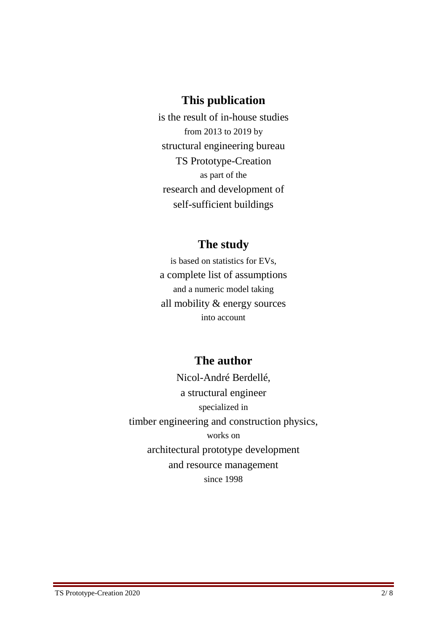# **This publication**

is the result of in-house studies from 2013 to 2019 by structural engineering bureau TS Prototype-Creation as part of the research and development of self-sufficient buildings

# **The study**

is based on statistics for EVs, a complete list of assumptions and a numeric model taking all mobility & energy sources into account

# **The author**

Nicol-André Berdellé, a structural engineer specialized in timber engineering and construction physics, works on architectural prototype development and resource management since 1998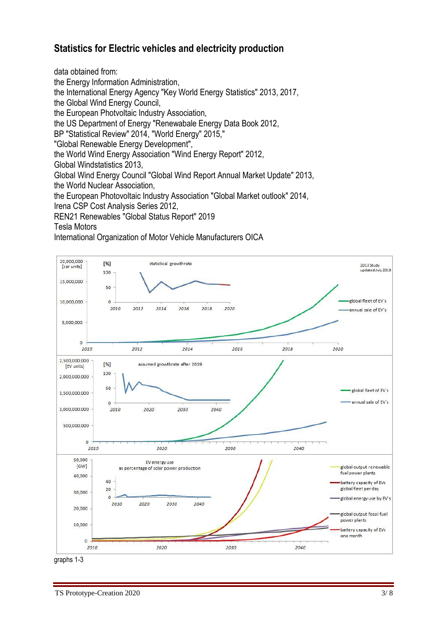## **Statistics for Electric vehicles and electricity production**

data obtained from:

the Energy Information Administration,

the International Energy Agency "Key World Energy Statistics" 2013, 2017,

the Global Wind Energy Council,

the European Photvoltaic Industry Association,

the US Department of Energy "Renewabale Energy Data Book 2012,

BP "Statistical Review" 2014, "World Energy" 2015,"

"Global Renewable Energy Development",

the World Wind Energy Association "Wind Energy Report" 2012,

Global Windstatistics 2013,

Global Wind Energy Council "Global Wind Report Annual Market Update" 2013,

the World Nuclear Association,

the European Photovoltaic Industry Association "Global Market outlook" 2014,

Irena CSP Cost Analysis Series 2012,

REN21 Renewables "Global Status Report" 2019

#### Tesla Motors

International Organization of Motor Vehicle Manufacturers OICA



graphs 1-3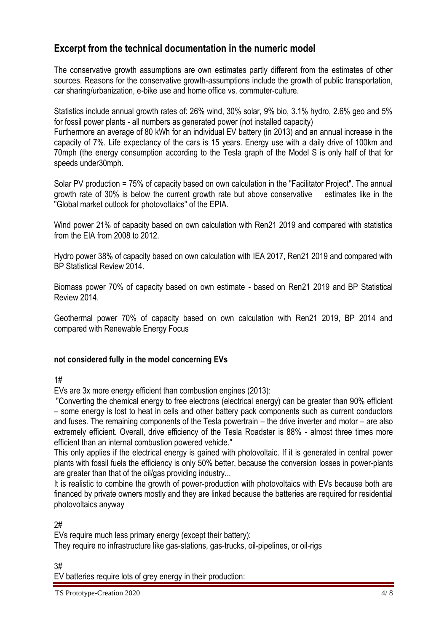# **Excerpt from the technical documentation in the numeric model**

The conservative growth assumptions are own estimates partly different from the estimates of other sources. Reasons for the conservative growth-assumptions include the growth of public transportation, car sharing/urbanization, e-bike use and home office vs. commuter-culture.

Statistics include annual growth rates of: 26% wind, 30% solar, 9% bio, 3.1% hydro, 2.6% geo and 5% for fossil power plants - all numbers as generated power (not installed capacity)

Furthermore an average of 80 kWh for an individual EV battery (in 2013) and an annual increase in the capacity of 7%. Life expectancy of the cars is 15 years. Energy use with a daily drive of 100km and 70mph (the energy consumption according to the Tesla graph of the Model S is only half of that for speeds under30mph.

Solar PV production = 75% of capacity based on own calculation in the "Facilitator Project". The annual growth rate of 30% is below the current growth rate but above conservative estimates like in the "Global market outlook for photovoltaics" of the EPIA.

Wind power 21% of capacity based on own calculation with Ren21 2019 and compared with statistics from the EIA from 2008 to 2012.

Hydro power 38% of capacity based on own calculation with IEA 2017, Ren21 2019 and compared with BP Statistical Review 2014.

Biomass power 70% of capacity based on own estimate - based on Ren21 2019 and BP Statistical Review 2014.

Geothermal power 70% of capacity based on own calculation with Ren21 2019, BP 2014 and compared with Renewable Energy Focus

#### **not considered fully in the model concerning EVs**

1#

EVs are 3x more energy efficient than combustion engines (2013):

"Converting the chemical energy to free electrons (electrical energy) can be greater than 90% efficient – some energy is lost to heat in cells and other battery pack components such as current conductors and fuses. The remaining components of the Tesla powertrain – the drive inverter and motor – are also extremely efficient. Overall, drive efficiency of the Tesla Roadster is 88% - almost three times more efficient than an internal combustion powered vehicle."

This only applies if the electrical energy is gained with photovoltaic. If it is generated in central power plants with fossil fuels the efficiency is only 50% better, because the conversion losses in power-plants are greater than that of the oil/gas providing industry...

It is realistic to combine the growth of power-production with photovoltaics with EVs because both are financed by private owners mostly and they are linked because the batteries are required for residential photovoltaics anyway

2#

EVs require much less primary energy (except their battery):

They require no infrastructure like gas-stations, gas-trucks, oil-pipelines, or oil-rigs

3#

EV batteries require lots of grey energy in their production: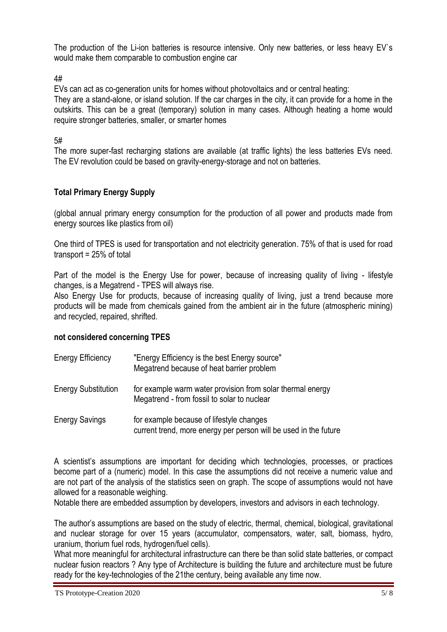The production of the Li-ion batteries is resource intensive. Only new batteries, or less heavy EV`s would make them comparable to combustion engine car

4#

EVs can act as co-generation units for homes without photovoltaics and or central heating:

They are a stand-alone, or island solution. If the car charges in the city, it can provide for a home in the outskirts. This can be a great (temporary) solution in many cases. Although heating a home would require stronger batteries, smaller, or smarter homes

5#

The more super-fast recharging stations are available (at traffic lights) the less batteries EVs need. The EV revolution could be based on gravity-energy-storage and not on batteries.

### **Total Primary Energy Supply**

(global annual primary energy consumption for the production of all power and products made from energy sources like plastics from oil)

One third of TPES is used for transportation and not electricity generation. 75% of that is used for road transport = 25% of total

Part of the model is the Energy Use for power, because of increasing quality of living - lifestyle changes, is a Megatrend - TPES will always rise.

Also Energy Use for products, because of increasing quality of living, just a trend because more products will be made from chemicals gained from the ambient air in the future (atmospheric mining) and recycled, repaired, shrifted.

#### **not considered concerning TPES**

| Energy Efficiency          | "Energy Efficiency is the best Energy source"<br>Megatrend because of heat barrier problem                   |
|----------------------------|--------------------------------------------------------------------------------------------------------------|
| <b>Energy Substitution</b> | for example warm water provision from solar thermal energy<br>Megatrend - from fossil to solar to nuclear    |
| Energy Savings             | for example because of lifestyle changes<br>current trend, more energy per person will be used in the future |

A scientist's assumptions are important for deciding which technologies, processes, or practices become part of a (numeric) model. In this case the assumptions did not receive a numeric value and are not part of the analysis of the statistics seen on graph. The scope of assumptions would not have allowed for a reasonable weighing.

Notable there are embedded assumption by developers, investors and advisors in each technology.

The author's assumptions are based on the study of electric, thermal, chemical, biological, gravitational and nuclear storage for over 15 years (accumulator, compensators, water, salt, biomass, hydro, uranium, thorium fuel rods, hydrogen/fuel cells).

What more meaningful for architectural infrastructure can there be than solid state batteries, or compact nuclear fusion reactors ? Any type of Architecture is building the future and architecture must be future ready for the key-technologies of the 21the century, being available any time now.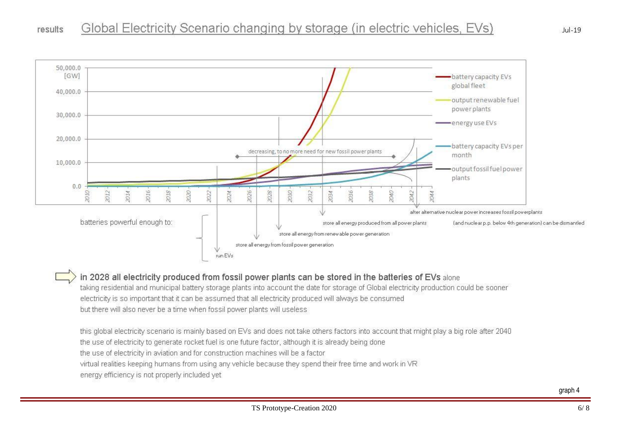

in 2028 all electricity produced from fossil power plants can be stored in the batteries of EVs alone taking residential and municipal battery storage plants into account the date for storage of Global electricity production could be sooner electricity is so important that it can be assumed that all electricity produced will always be consumed but there will also never be a time when fossil power plants will useless

this global electricity scenario is mainly based on EVs and does not take others factors into account that might play a big role after 2040 the use of electricity to generate rocket fuel is one future factor, although it is already being done the use of electricity in aviation and for construction machines will be a factor virtual realities keeping humans from using any vehicle because they spend their free time and work in VR energy efficiency is not properly included yet

graph 4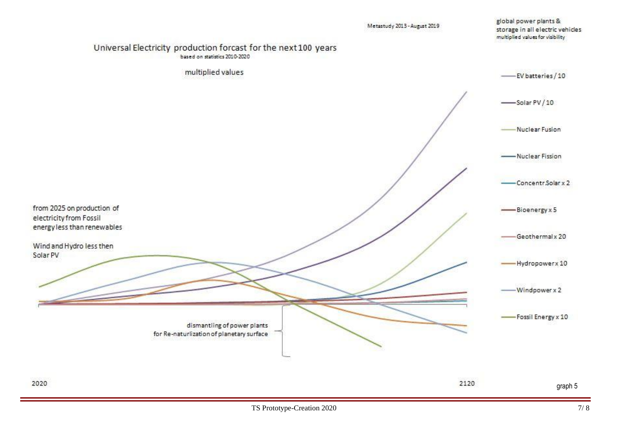